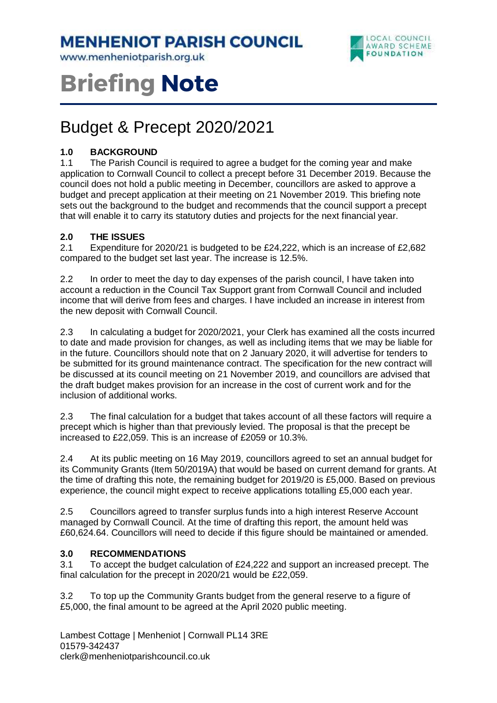**MENHENIOT PARISH COUNCIL** 

www.menheniotparish.org.uk



# **Briefing Note**

# Budget & Precept 2020/2021

## **1.0 BACKGROUND**

1.1 The Parish Council is required to agree a budget for the coming year and make application to Cornwall Council to collect a precept before 31 December 2019. Because the council does not hold a public meeting in December, councillors are asked to approve a budget and precept application at their meeting on 21 November 2019. This briefing note sets out the background to the budget and recommends that the council support a precept that will enable it to carry its statutory duties and projects for the next financial year.

### **2.0 THE ISSUES**

2.1 Expenditure for 2020/21 is budgeted to be £24,222, which is an increase of £2,682 compared to the budget set last year. The increase is 12.5%.

2.2 In order to meet the day to day expenses of the parish council, I have taken into account a reduction in the Council Tax Support grant from Cornwall Council and included income that will derive from fees and charges. I have included an increase in interest from the new deposit with Cornwall Council.

2.3 In calculating a budget for 2020/2021, your Clerk has examined all the costs incurred to date and made provision for changes, as well as including items that we may be liable for in the future. Councillors should note that on 2 January 2020, it will advertise for tenders to be submitted for its ground maintenance contract. The specification for the new contract will be discussed at its council meeting on 21 November 2019, and councillors are advised that the draft budget makes provision for an increase in the cost of current work and for the inclusion of additional works.

2.3 The final calculation for a budget that takes account of all these factors will require a precept which is higher than that previously levied. The proposal is that the precept be increased to £22,059. This is an increase of £2059 or 10.3%.

2.4 At its public meeting on 16 May 2019, councillors agreed to set an annual budget for its Community Grants (Item 50/2019A) that would be based on current demand for grants. At the time of drafting this note, the remaining budget for 2019/20 is £5,000. Based on previous experience, the council might expect to receive applications totalling £5,000 each year.

2.5 Councillors agreed to transfer surplus funds into a high interest Reserve Account managed by Cornwall Council. At the time of drafting this report, the amount held was £60,624.64. Councillors will need to decide if this figure should be maintained or amended.

### **3.0 RECOMMENDATIONS**

3.1 To accept the budget calculation of £24,222 and support an increased precept. The final calculation for the precept in 2020/21 would be £22,059.

3.2 To top up the Community Grants budget from the general reserve to a figure of £5,000, the final amount to be agreed at the April 2020 public meeting.

Lambest Cottage | Menheniot | Cornwall PL14 3RE 01579-342437 clerk@menheniotparishcouncil.co.uk